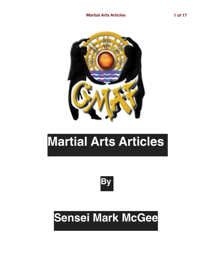

# **Martial Arts Articles**



## **Sensei Mark McGee**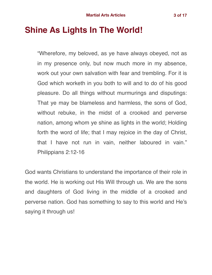## **Shine As Lights In The World!**

"Wherefore, my beloved, as ye have always obeyed, not as in my presence only, but now much more in my absence, work out your own salvation with fear and trembling. For it is God which worketh in you both to will and to do of his good pleasure. Do all things without murmurings and disputings: That ye may be blameless and harmless, the sons of God, without rebuke, in the midst of a crooked and perverse nation, among whom ye shine as lights in the world; Holding forth the word of life; that I may rejoice in the day of Christ, that I have not run in vain, neither laboured in vain." Philippians 2:12-16

God wants Christians to understand the importance of their role in the world. He is working out His Will through us. We are the sons and daughters of God living in the middle of a crooked and perverse nation. God has something to say to this world and He's saying it through us!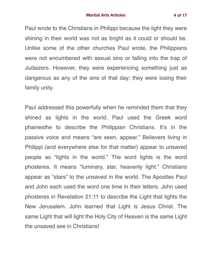Paul wrote to the Christians in Philippi because the light they were shining in their world was not as bright as it could or should be. Unlike some of the other churches Paul wrote, the Philippians were not encumbered with sexual sins or falling into the trap of Judaizers. However, they were experiencing something just as dangerous as any of the sins of that day; they were losing their family unity.

Paul addressed this powerfully when he reminded them that they shined as lights in the world. Paul used the Greek word phainesthe to describe the Philippian Christians. It's in the passive voice and means "are seen, appear." Believers living in Philippi (and everywhere else for that matter) appear to unsaved people as "lights in the world." The word lights is the word phosteres. It means "luminary, star, heavenly light." Christians appear as "stars" to the unsaved in the world. The Apostles Paul and John each used the word one time in their letters. John used phosteres in Revelation 21:11 to describe the Light that lights the New Jerusalem. John learned that Light is Jesus Christ. The same Light that will light the Holy City of Heaven is the same Light the unsaved see in Christians!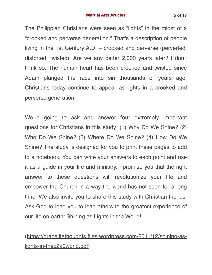The Philippian Christians were seen as "lights" in the midst of a "crooked and perverse generation." That's a description of people living in the 1st Century A.D. – crooked and perverse (perverted, distorted, twisted). Are we any better 2,000 years later? I don't think so. The human heart has been crooked and twisted since Adam plunged the race into sin thousands of years ago. Christians today continue to appear as lights in a crooked and perverse generation.

We're going to ask and answer four extremely important questions for Christians in this study: (1) Why Do We Shine? (2) Who Do We Shine? (3) Where Do We Shine? (4) How Do We Shine? The study is designed for you to print these pages to add to a notebook. You can write your answers to each point and use it as a guide in your life and ministry. I promise you that the right answer to these questions will revolutionize your life and empower the Church in a way the world has not seen for a long time. We also invite you to share this study with Christian friends. Ask God to lead you to lead others to the greatest experience of our life on earth: Shining as Lights in the World!

### [\(https://gracelifethoughts.files.wordpress.com/2011/12/shining-as](https://gracelifethoughts.files.wordpress.com/2011/12/shining-as-lights-in-thec2a0world.pdf)[lights-in-thec2a0world.pdf](https://gracelifethoughts.files.wordpress.com/2011/12/shining-as-lights-in-thec2a0world.pdf))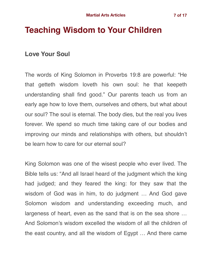## **Teaching Wisdom to Your Children**

#### **Love Your Soul**

The words of King Solomon in Proverbs 19:8 are powerful: "He that getteth wisdom loveth his own soul: he that keepeth understanding shall find good." Our parents teach us from an early age how to love them, ourselves and others, but what about our soul? The soul is eternal. The body dies, but the real you lives forever. We spend so much time taking care of our bodies and improving our minds and relationships with others, but shouldn't be learn how to care for our eternal soul?

King Solomon was one of the wisest people who ever lived. The Bible tells us: "And all Israel heard of the judgment which the king had judged; and they feared the king: for they saw that the wisdom of God was in him, to do judgment … And God gave Solomon wisdom and understanding exceeding much, and largeness of heart, even as the sand that is on the sea shore … And Solomon's wisdom excelled the wisdom of all the children of the east country, and all the wisdom of Egypt … And there came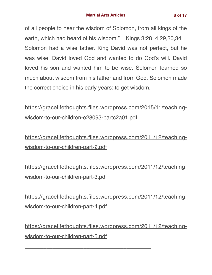of all people to hear the wisdom of Solomon, from all kings of the earth, which had heard of his wisdom." 1 Kings 3:28; 4:29,30,34 Solomon had a wise father. King David was not perfect, but he was wise. David loved God and wanted to do God's will. David loved his son and wanted him to be wise. Solomon learned so much about wisdom from his father and from God. Solomon made the correct choice in his early years: to get wisdom.

[https://gracelifethoughts.files.wordpress.com/2015/11/teaching](https://gracelifethoughts.files.wordpress.com/2015/11/teaching-wisdom-to-our-children-e28093-partc2a01.pdf)[wisdom-to-our-children-e28093-partc2a01.pdf](https://gracelifethoughts.files.wordpress.com/2015/11/teaching-wisdom-to-our-children-e28093-partc2a01.pdf)

[https://gracelifethoughts.files.wordpress.com/2011/12/teaching](https://gracelifethoughts.files.wordpress.com/2011/12/teaching-wisdom-to-our-children-part-2.pdf)[wisdom-to-our-children-part-2.pdf](https://gracelifethoughts.files.wordpress.com/2011/12/teaching-wisdom-to-our-children-part-2.pdf)

[https://gracelifethoughts.files.wordpress.com/2011/12/teaching](https://gracelifethoughts.files.wordpress.com/2011/12/teaching-wisdom-to-our-children-part-3.pdf)[wisdom-to-our-children-part-3.pdf](https://gracelifethoughts.files.wordpress.com/2011/12/teaching-wisdom-to-our-children-part-3.pdf)

[https://gracelifethoughts.files.wordpress.com/2011/12/teaching](https://gracelifethoughts.files.wordpress.com/2011/12/teaching-wisdom-to-our-children-part-4.pdf)[wisdom-to-our-children-part-4.pdf](https://gracelifethoughts.files.wordpress.com/2011/12/teaching-wisdom-to-our-children-part-4.pdf)

[https://gracelifethoughts.files.wordpress.com/2011/12/teaching](https://gracelifethoughts.files.wordpress.com/2011/12/teaching-wisdom-to-our-children-part-5.pdf)[wisdom-to-our-children-part-5.pdf](https://gracelifethoughts.files.wordpress.com/2011/12/teaching-wisdom-to-our-children-part-5.pdf)

\_\_\_\_\_\_\_\_\_\_\_\_\_\_\_\_\_\_\_\_\_\_\_\_\_\_\_\_\_\_\_\_\_\_\_\_\_\_\_\_\_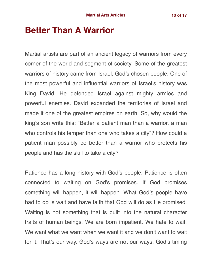## **Better Than A Warrior**

Martial artists are part of an ancient legacy of warriors from every corner of the world and segment of society. Some of the greatest warriors of history came from Israel, God's chosen people. One of the most powerful and influential warriors of Israel's history was King David. He defended Israel against mighty armies and powerful enemies. David expanded the territories of Israel and made it one of the greatest empires on earth. So, why would the king's son write this: "Better a patient man than a warrior, a man who controls his temper than one who takes a city"? How could a patient man possibly be better than a warrior who protects his people and has the skill to take a city?

Patience has a long history with God's people. Patience is often connected to waiting on God's promises. If God promises something will happen, it will happen. What God's people have had to do is wait and have faith that God will do as He promised. Waiting is not something that is built into the natural character traits of human beings. We are born impatient. We hate to wait. We want what we want when we want it and we don't want to wait for it. That's our way. God's ways are not our ways. God's timing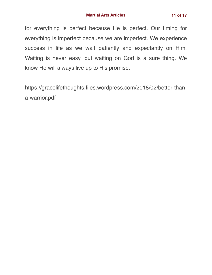for everything is perfect because He is perfect. Our timing for everything is imperfect because we are imperfect. We experience success in life as we wait patiently and expectantly on Him. Waiting is never easy, but waiting on God is a sure thing. We know He will always live up to His promise.

[https://gracelifethoughts.files.wordpress.com/2018/02/better-than](https://gracelifethoughts.files.wordpress.com/2018/02/better-than-a-warrior.pdf)[a-warrior.pdf](https://gracelifethoughts.files.wordpress.com/2018/02/better-than-a-warrior.pdf)

\_\_\_\_\_\_\_\_\_\_\_\_\_\_\_\_\_\_\_\_\_\_\_\_\_\_\_\_\_\_\_\_\_\_\_\_\_\_\_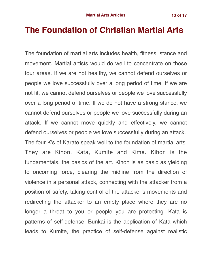## **The Foundation of Christian Martial Arts**

The foundation of martial arts includes health, fitness, stance and movement. Martial artists would do well to concentrate on those four areas. If we are not healthy, we cannot defend ourselves or people we love successfully over a long period of time. If we are not fit, we cannot defend ourselves or people we love successfully over a long period of time. If we do not have a strong stance, we cannot defend ourselves or people we love successfully during an attack. If we cannot move quickly and effectively, we cannot defend ourselves or people we love successfully during an attack. The four K's of Karate speak well to the foundation of martial arts. They are Kihon, Kata, Kumite and Kime. Kihon is the fundamentals, the basics of the art. Kihon is as basic as yielding to oncoming force, clearing the midline from the direction of violence in a personal attack, connecting with the attacker from a position of safety, taking control of the attacker's movements and redirecting the attacker to an empty place where they are no longer a threat to you or people you are protecting. Kata is patterns of self-defense. Bunkai is the application of Kata which leads to Kumite, the practice of self-defense against realistic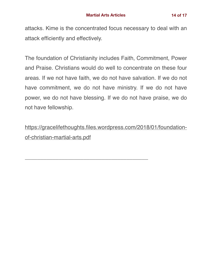attacks. Kime is the concentrated focus necessary to deal with an attack efficiently and effectively.

The foundation of Christianity includes Faith, Commitment, Power and Praise. Christians would do well to concentrate on these four areas. If we not have faith, we do not have salvation. If we do not have commitment, we do not have ministry. If we do not have power, we do not have blessing. If we do not have praise, we do not have fellowship.

[https://gracelifethoughts.files.wordpress.com/2018/01/foundation](https://gracelifethoughts.files.wordpress.com/2018/01/foundation-of-christian-martial-arts.pdf)[of-christian-martial-arts.pdf](https://gracelifethoughts.files.wordpress.com/2018/01/foundation-of-christian-martial-arts.pdf)

\_\_\_\_\_\_\_\_\_\_\_\_\_\_\_\_\_\_\_\_\_\_\_\_\_\_\_\_\_\_\_\_\_\_\_\_\_\_\_\_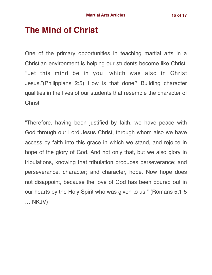## **The Mind of Christ**

One of the primary opportunities in teaching martial arts in a Christian environment is helping our students become like Christ. "Let this mind be in you, which was also in Christ Jesus."(Philippians 2:5) How is that done? Building character qualities in the lives of our students that resemble the character of Christ.

"Therefore, having been justified by faith, we have peace with God through our Lord Jesus Christ, through whom also we have access by faith into this grace in which we stand, and rejoice in hope of the glory of God. And not only that, but we also glory in tribulations, knowing that tribulation produces perseverance; and perseverance, character; and character, hope. Now hope does not disappoint, because the love of God has been poured out in our hearts by the Holy Spirit who was given to us." (Romans 5:1-5 … NKJV)